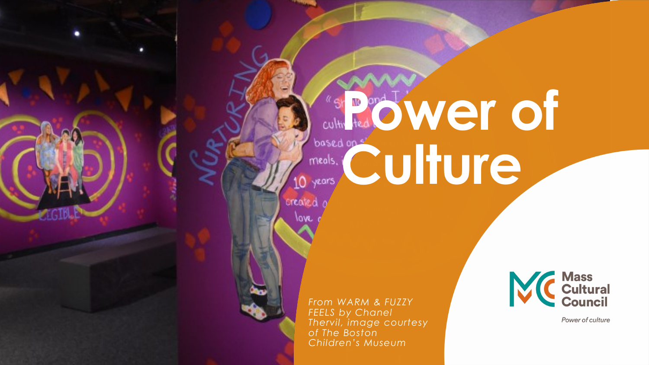# **Country of the Company of Company of Company of Company of Company of Company of Company of Company of Company of Company of Company of Company of Company of Company of Company of Company of Company of Company of Company** based on service of the contract of the contract of the contract of the contract of the contract of the contract of the contract of the contract of the contract of the contract of the contract of the contract of the contra O years,

created a love.

> *From WARM & FUZZY FEELS by Chanel Thervil, image courtesy of The Boston Children's Museum*



Power of culture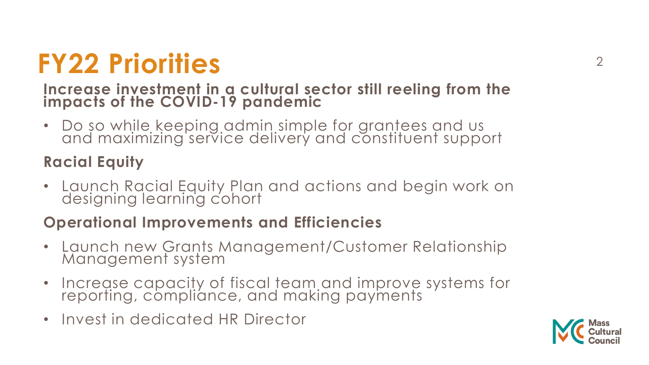# <sup>2</sup> **FY22 Priorities**

#### **Increase investment in a cultural sector still reeling from the impacts of the COVID-19 pandemic**

• Do so while keeping admin simple for grantees and us and maximizing service delivery and constituent support

#### **Racial Equity**

• Launch Racial Equity Plan and actions and begin work on designing learning cohort

#### **Operational Improvements and Efficiencies**

- Launch new Grants Management/Customer Relationship Management system
- Increase capacity of fiscal team and improve systems for reporting, compliance, and making payments
- Invest in dedicated HR Director

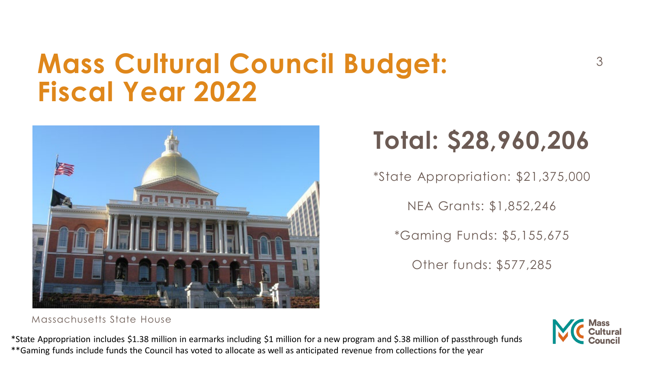## **Mass Cultural Council Budget:** 3 **Fiscal Year 2022**



#### Massachusetts State House

\*State Appropriation includes \$1.38 million in earmarks including \$1 million for a new program and \$.38 million of passthrough funds \*\*Gaming funds include funds the Council has voted to allocate as well as anticipated revenue from collections for the year

## **Total: \$28,960,206**

\*State Appropriation: \$21,375,000

NEA Grants: \$1,852,246

\*Gaming Funds: \$5,155,675

Other funds: \$577,285

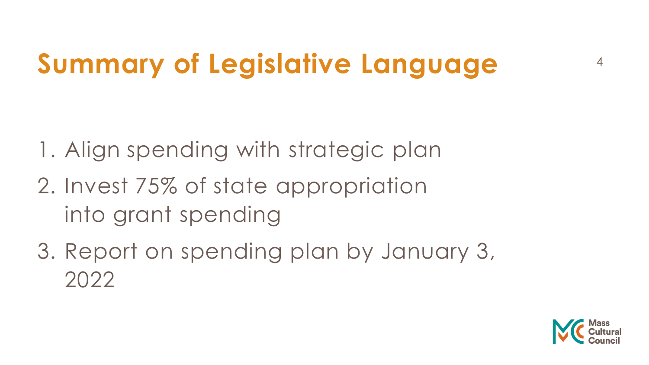# <sup>4</sup> **Summary of Legislative Language**

1. Align spending with strategic plan

- 2. Invest 75% of state appropriation into grant spending
- 3. Report on spending plan by January 3, 2022

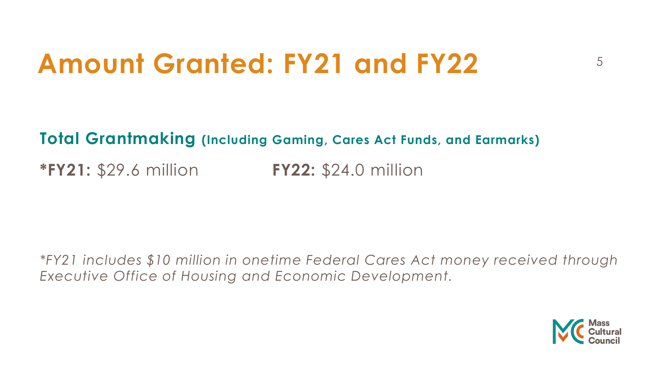## Amount Granted: FY21 and FY22 **5**

**Total Grantmaking (Including Gaming, Cares Act Funds, and Earmarks)**

**\*FY21:** \$29.6 million **FY22:** \$24.0 million

*\*FY21 includes \$10 million in onetime Federal Cares Act money received through Executive Office of Housing and Economic Development.*

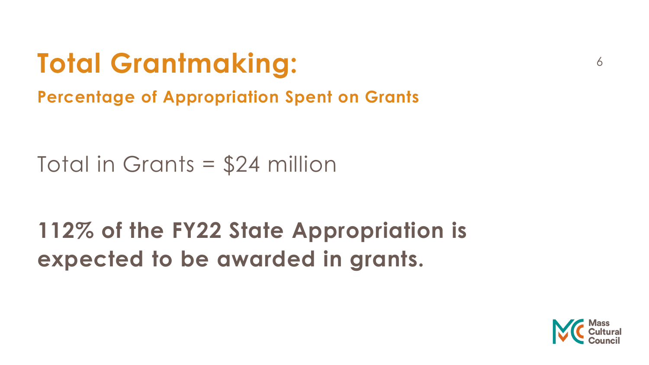# <sup>6</sup> **Total Grantmaking:**

**Percentage of Appropriation Spent on Grants**

Total in Grants = \$24 million

## **112% of the FY22 State Appropriation is expected to be awarded in grants.**

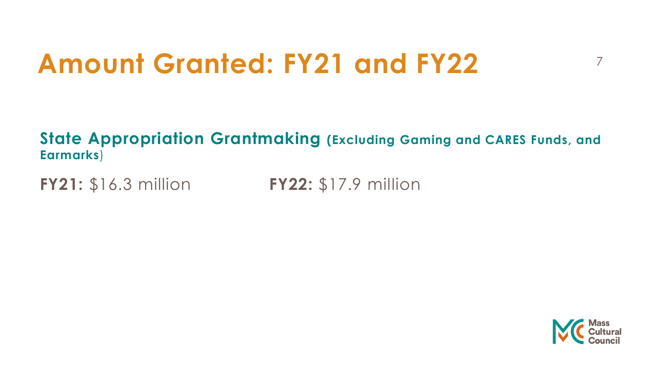# **Amount Granted: FY21 and FY22** <sup>7</sup>

#### **State Appropriation Grantmaking (Excluding Gaming and CARES Funds, and Earmarks**)

**FY21:** \$16.3 million **FY22:** \$17.9 million

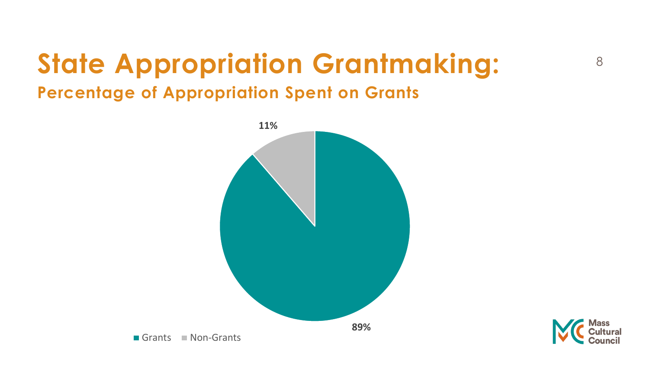## <sup>8</sup> **State Appropriation Grantmaking: Percentage of Appropriation Spent on Grants**





Grants Non-Grants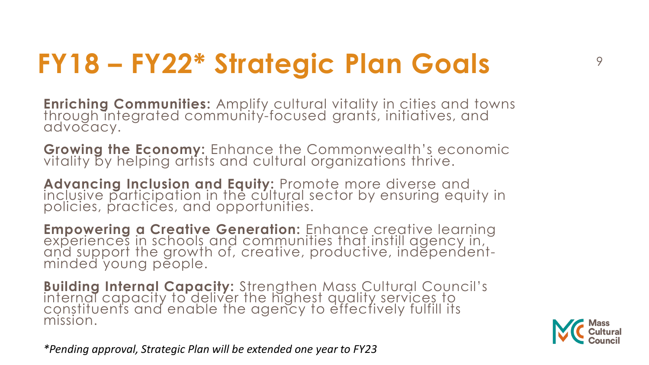# <sup>9</sup> **FY18 – FY22\* Strategic Plan Goals**

**Enriching Communities:** Amplify cultural vitality in cities and towns through integrated community-focused grants, initiatives, and advocacy.

**Growing the Economy:** Enhance the Commonwealth's economic vitality by helping artists and cultural organizations thrive.

**Advancing Inclusion and Equity:** Promote more diverse and inclusive participation in the cultural sector by ensuring equity in policies, practices, and opportunities.

**Empowering a Creative Generation:** Enhance creative learning experiences in schools and communities that instill agency in, and support the growth of, creative, productive, independent- minded young people.

**Building Internal Capacity:** Strengthen Mass Cultural Council's<br>internal capacity to deliver the highest quality services to constituents and enable the agency to effectively fulfill its mission.

*\*Pending approval, Strategic Plan will be extended one year to FY23*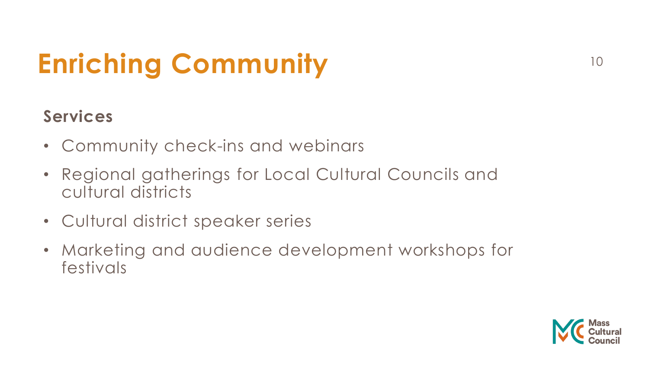# <sup>10</sup> **Enriching Community**

## **Services**

- Community check-ins and webinars
- Regional gatherings for Local Cultural Councils and cultural districts
- Cultural district speaker series
- Marketing and audience development workshops for festivals

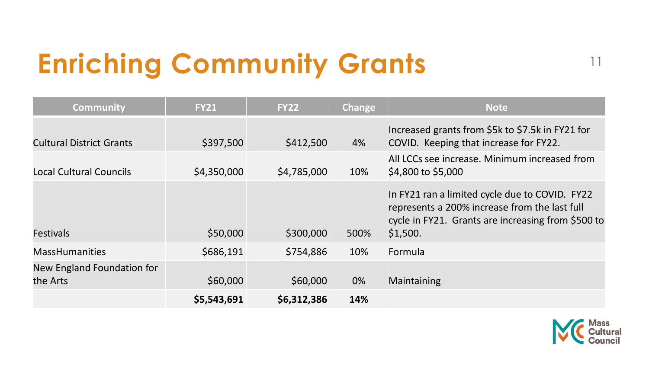# <sup>11</sup> **Enriching Community Grants**

| <b>Community</b>                       | <b>FY21</b> | <b>FY22</b> | Change | <b>Note</b>                                                                                                                                                       |
|----------------------------------------|-------------|-------------|--------|-------------------------------------------------------------------------------------------------------------------------------------------------------------------|
| <b>Cultural District Grants</b>        | \$397,500   | \$412,500   | 4%     | Increased grants from \$5k to \$7.5k in FY21 for<br>COVID. Keeping that increase for FY22.                                                                        |
| <b>Local Cultural Councils</b>         | \$4,350,000 | \$4,785,000 | 10%    | All LCCs see increase. Minimum increased from<br>\$4,800 to \$5,000                                                                                               |
| <b>Festivals</b>                       | \$50,000    | \$300,000   | 500%   | In FY21 ran a limited cycle due to COVID. FY22<br>represents a 200% increase from the last full<br>cycle in FY21. Grants are increasing from \$500 to<br>\$1,500. |
| <b>MassHumanities</b>                  | \$686,191   | \$754,886   | 10%    | Formula                                                                                                                                                           |
| New England Foundation for<br>the Arts | \$60,000    | \$60,000    | 0%     | Maintaining                                                                                                                                                       |
|                                        | \$5,543,691 | \$6,312,386 | 14%    |                                                                                                                                                                   |

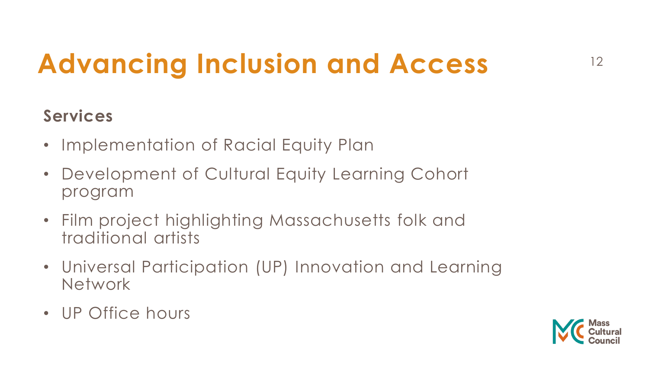# **Advancing Inclusion and Access** <sup>12</sup>

## **Services**

- Implementation of Racial Equity Plan
- Development of Cultural Equity Learning Cohort program
- Film project highlighting Massachusetts folk and traditional artists
- Universal Participation (UP) Innovation and Learning **Network**
- UP Office hours

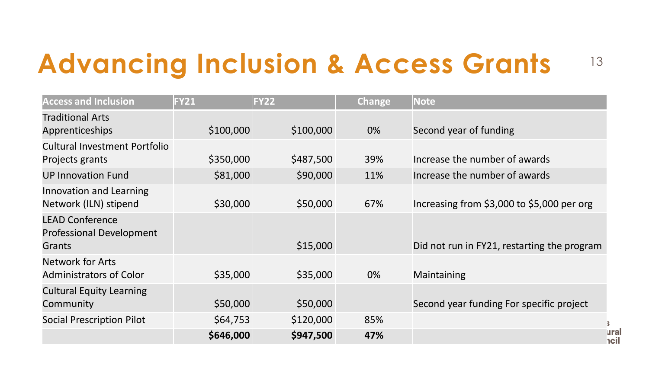## **Advancing Inclusion & Access Grants** <sup>13</sup>

| <b>Access and Inclusion</b>                                         | <b>FY21</b> | <b>FY22</b> | <b>Change</b> | <b>Note</b>                                 |
|---------------------------------------------------------------------|-------------|-------------|---------------|---------------------------------------------|
| <b>Traditional Arts</b><br><b>Apprenticeships</b>                   | \$100,000   | \$100,000   | 0%            | Second year of funding                      |
| Cultural Investment Portfolio<br>Projects grants                    | \$350,000   | \$487,500   | 39%           | Increase the number of awards               |
| <b>UP Innovation Fund</b>                                           | \$81,000    | \$90,000    | 11%           | Increase the number of awards               |
| Innovation and Learning<br>Network (ILN) stipend                    | \$30,000    | \$50,000    | 67%           | Increasing from \$3,000 to \$5,000 per org  |
| <b>LEAD Conference</b><br><b>Professional Development</b><br>Grants |             | \$15,000    |               | Did not run in FY21, restarting the program |
| <b>Network for Arts</b><br><b>Administrators of Color</b>           | \$35,000    | \$35,000    | 0%            | Maintaining                                 |
| <b>Cultural Equity Learning</b><br>Community                        | \$50,000    | \$50,000    |               | Second year funding For specific project    |
| <b>Social Prescription Pilot</b>                                    | \$64,753    | \$120,000   | 85%           |                                             |
|                                                                     | \$646,000   | \$947,500   | 47%           | ural<br>hcil                                |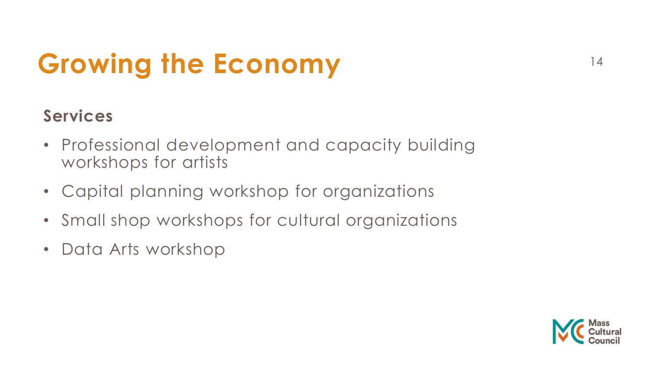# **Growing the Economy** <sup>14</sup>

## **Services**

- Professional development and capacity building workshops for artists
- Capital planning workshop for organizations
- Small shop workshops for cultural organizations
- Data Arts workshop

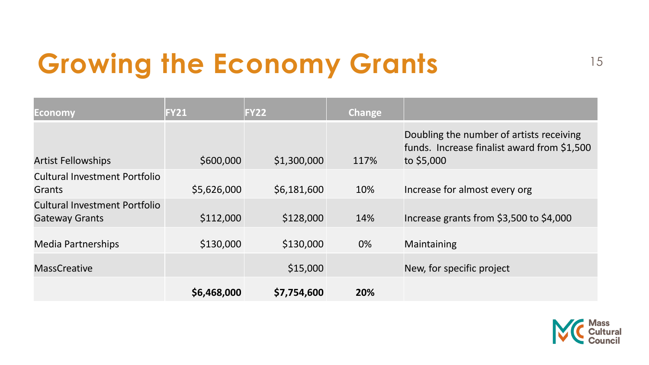# Growing the Economy Grants 15

| <b>Economy</b>                                                | <b>FY21</b> | <b>FY22</b> | Change |                                                                                                       |
|---------------------------------------------------------------|-------------|-------------|--------|-------------------------------------------------------------------------------------------------------|
| <b>Artist Fellowships</b>                                     | \$600,000   | \$1,300,000 | 117%   | Doubling the number of artists receiving<br>funds. Increase finalist award from \$1,500<br>to \$5,000 |
| <b>Cultural Investment Portfolio</b><br><b>Grants</b>         | \$5,626,000 | \$6,181,600 | 10%    | Increase for almost every org                                                                         |
| <b>Cultural Investment Portfolio</b><br><b>Gateway Grants</b> | \$112,000   | \$128,000   | 14%    | Increase grants from \$3,500 to \$4,000                                                               |
| <b>Media Partnerships</b>                                     | \$130,000   | \$130,000   | 0%     | Maintaining                                                                                           |
| <b>MassCreative</b>                                           |             | \$15,000    |        | New, for specific project                                                                             |
|                                                               | \$6,468,000 | \$7,754,600 | 20%    |                                                                                                       |

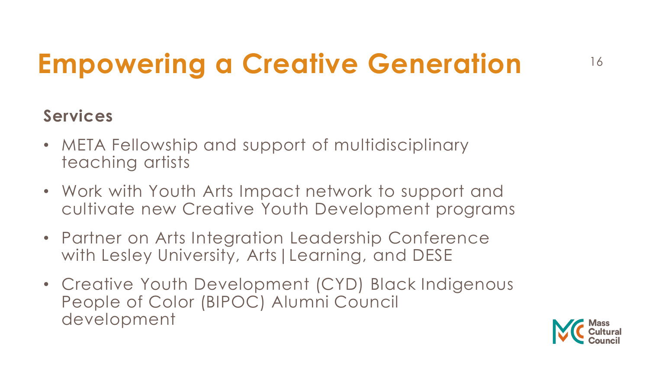# <sup>16</sup> **Empowering a Creative Generation**

### **Services**

- META Fellowship and support of multidisciplinary teaching artists
- Work with Youth Arts Impact network to support and cultivate new Creative Youth Development programs
- Partner on Arts Integration Leadership Conference with Lesley University, Arts | Learning, and DESE
- Creative Youth Development (CYD) Black Indigenous People of Color (BIPOC) Alumni Council development

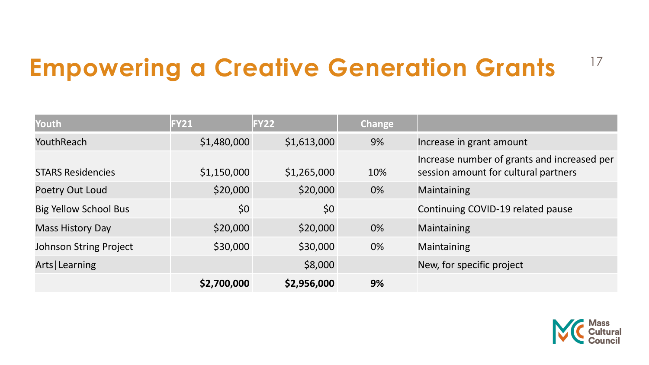## <sup>17</sup> **Empowering a Creative Generation Grants**

| Youth                         | <b>FY21</b> | <b>FY22</b> | Change |                                                                                     |
|-------------------------------|-------------|-------------|--------|-------------------------------------------------------------------------------------|
| YouthReach                    | \$1,480,000 | \$1,613,000 | 9%     | Increase in grant amount                                                            |
| <b>STARS Residencies</b>      | \$1,150,000 | \$1,265,000 | 10%    | Increase number of grants and increased per<br>session amount for cultural partners |
| Poetry Out Loud               | \$20,000    | \$20,000    | 0%     | Maintaining                                                                         |
| <b>Big Yellow School Bus</b>  | \$0         | \$0         |        | Continuing COVID-19 related pause                                                   |
| <b>Mass History Day</b>       | \$20,000    | \$20,000    | 0%     | Maintaining                                                                         |
| <b>Johnson String Project</b> | \$30,000    | \$30,000    | 0%     | Maintaining                                                                         |
| Arts   Learning               |             | \$8,000     |        | New, for specific project                                                           |
|                               | \$2,700,000 | \$2,956,000 | 9%     |                                                                                     |

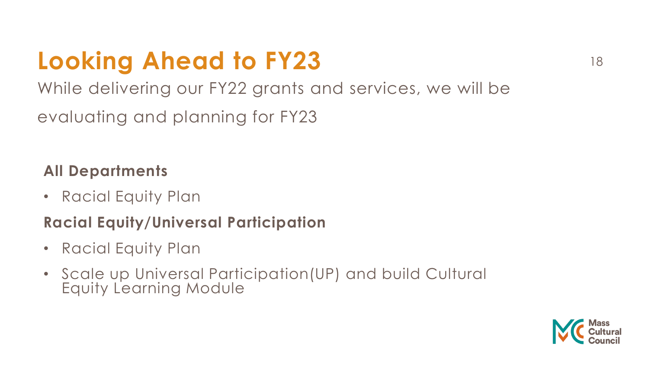## **Looking Ahead to FY23** 18

While delivering our FY22 grants and services, we will be evaluating and planning for FY23

#### **All Departments**

• Racial Equity Plan

#### **Racial Equity/Universal Participation**

- Racial Equity Plan
- Scale up Universal Participation(UP) and build Cultural Equity Learning Module

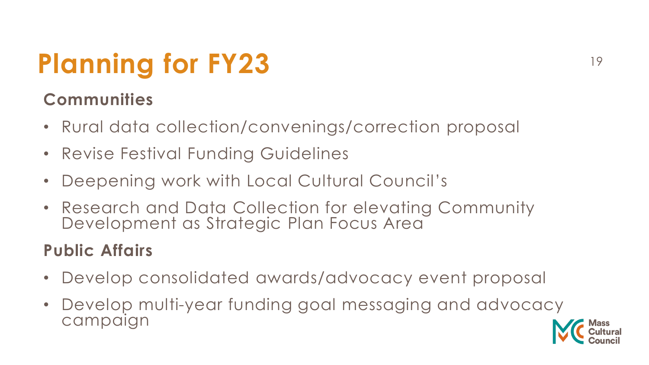# Planning for FY23

### **Communities**

- Rural data collection/convenings/correction proposal
- Revise Festival Funding Guidelines
- Deepening work with Local Cultural Council's
- Research and Data Collection for elevating Community Development as Strategic Plan Focus Area

## **Public Affairs**

- Develop consolidated awards/advocacy event proposal
- Develop multi-year funding goal messaging and advocacy campaign

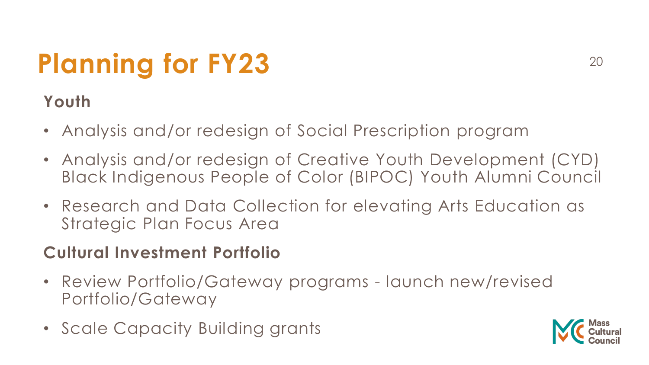# **Planning for FY23** 20

### **Youth**

- Analysis and/or redesign of Social Prescription program
- Analysis and/or redesign of Creative Youth Development (CYD) Black Indigenous People of Color (BIPOC) Youth Alumni Council
- Research and Data Collection for elevating Arts Education as Strategic Plan Focus Area

#### **Cultural Investment Portfolio**

- Review Portfolio/Gateway programs launch new/revised Portfolio/Gateway
- Scale Capacity Building grants

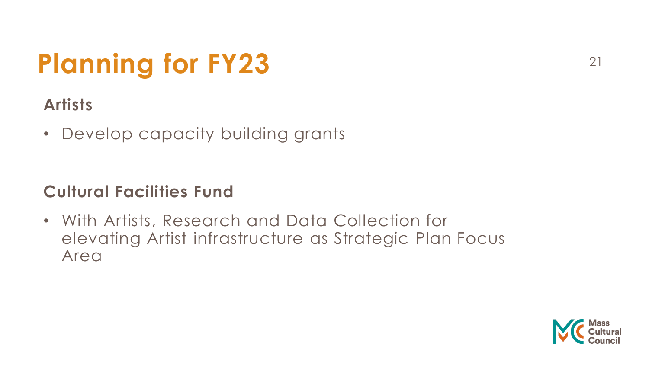# **Planning for FY23** 21

## **Artists**

• Develop capacity building grants

### **Cultural Facilities Fund**

• With Artists, Research and Data Collection for elevating Artist infrastructure as Strategic Plan Focus Area